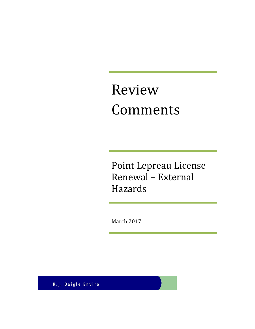# Review Comments

Point Lepreau License Renewal – External Hazards

March 2017

R.J. Daigle Enviro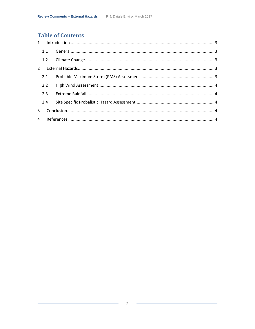# **Table of Contents**

|                | 1.1 |  |
|----------------|-----|--|
|                |     |  |
| $\overline{2}$ |     |  |
|                | 2.1 |  |
|                | 2.2 |  |
|                | 2.3 |  |
|                | 2.4 |  |
| 3              |     |  |
|                |     |  |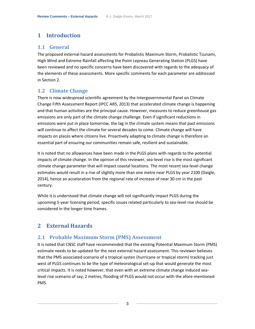# <span id="page-2-0"></span>**1 Introduction**

## <span id="page-2-1"></span>**1.1 General**

The proposed external hazard assessments for Probalistic Maximum Storm, Probalistic Tsunami, High Wind and Extreme Rainfall affecting the Point Lepreau Generating Station (PLGS) have been reviewed and no specific concerns have been discovered with regards to the adequacy of the elements of these assessments. More specific comments for each parameter are addressed in Section 2.

## <span id="page-2-2"></span>**1.2 Climate Change**

There is now widespread scientific agreement by the Intergovernmental Panel on Climate Change Fifth Assessment Report (IPCC AR5, 2013) that accelerated climate change is happening and that human activities are the principal cause. However, measures to reduce greenhouse gas emissions are only part of the climate change challenge. Even if significant reductions in emissions were put in place tomorrow, the lag in the climate system means that past emissions will continue to affect the climate for several decades to come. Climate change will have impacts on places where citizens live. Proactively adapting to climate change is therefore an essential part of ensuring our communities remain safe, resilient and sustainable.

It is noted that no allowances have been made in the PLGS plans with regards to the potential impacts of climate change. In the opinion of this reviewer, sea-level rise is the most significant climate change parameter that will impact coastal locations. The most recent sea-level change estimates would result in a rise of slightly more than one metre near PLGS by year 2100 (Daigle, 2014), hence an accelaration from the regional rate of increase of near 30 cm in the past century.

While it is understood that climate change will not significantly impact PLGS during the upcoming 5-year licensing period, specific issues related particularly to sea-level rise should be considered in the longer time frames.

## <span id="page-2-3"></span>**2 External Hazards**

## <span id="page-2-4"></span>**2.1 Probable Maximum Storm (PMS) Assessment**

It is noted that CNSC staff have recommended that the existing Potential Maximum Storm (PMS) estimate needs to be updated for the next external hazard assessment. This reviewer believes that the PMS associated scenario of a tropical systen (hurricane or tropical storm) tracking just west of PLGS continues to be the type of meteorological set-up that would generate the most critical impacts. It is noted however, that even with an extreme climate change induced sealevel rise scenario of say, 2 metres, flooding of PLGS would not occur with the afore-mentioned PMS.